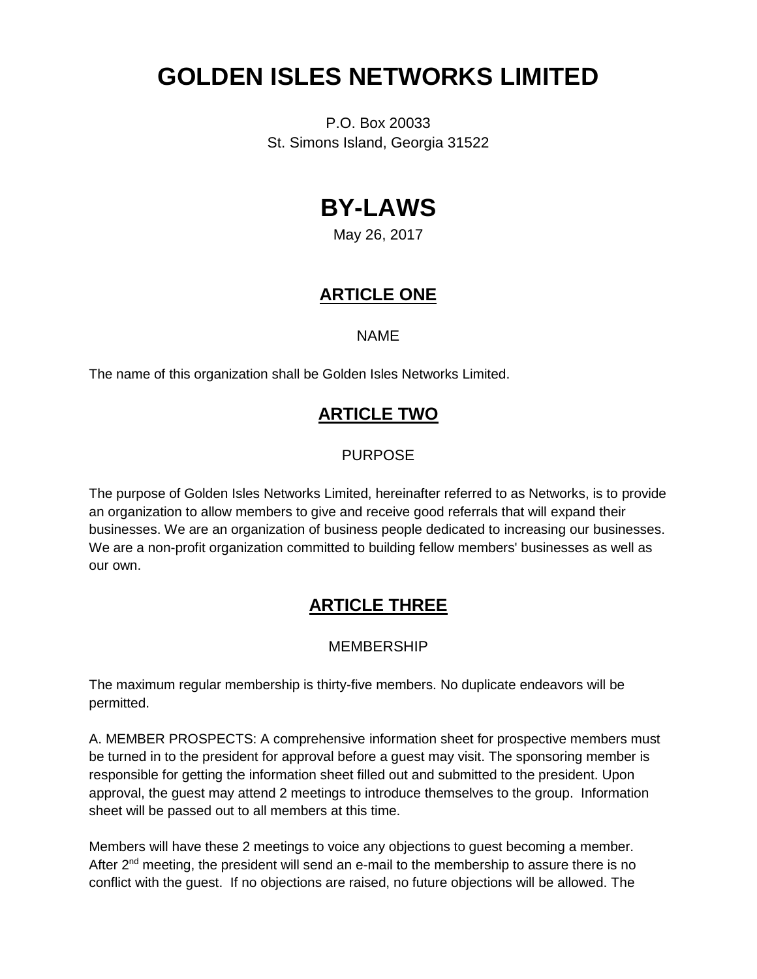# **GOLDEN ISLES NETWORKS LIMITED**

P.O. Box 20033 St. Simons Island, Georgia 31522

# **BY-LAWS**

May 26, 2017

## **ARTICLE ONE**

#### NAME

The name of this organization shall be Golden Isles Networks Limited.

## **ARTICLE TWO**

#### PURPOSE

The purpose of Golden Isles Networks Limited, hereinafter referred to as Networks, is to provide an organization to allow members to give and receive good referrals that will expand their businesses. We are an organization of business people dedicated to increasing our businesses. We are a non-profit organization committed to building fellow members' businesses as well as our own.

## **ARTICLE THREE**

#### MEMBERSHIP

The maximum regular membership is thirty-five members. No duplicate endeavors will be permitted.

A. MEMBER PROSPECTS: A comprehensive information sheet for prospective members must be turned in to the president for approval before a guest may visit. The sponsoring member is responsible for getting the information sheet filled out and submitted to the president. Upon approval, the guest may attend 2 meetings to introduce themselves to the group. Information sheet will be passed out to all members at this time.

Members will have these 2 meetings to voice any objections to guest becoming a member. After  $2^{nd}$  meeting, the president will send an e-mail to the membership to assure there is no conflict with the guest. If no objections are raised, no future objections will be allowed. The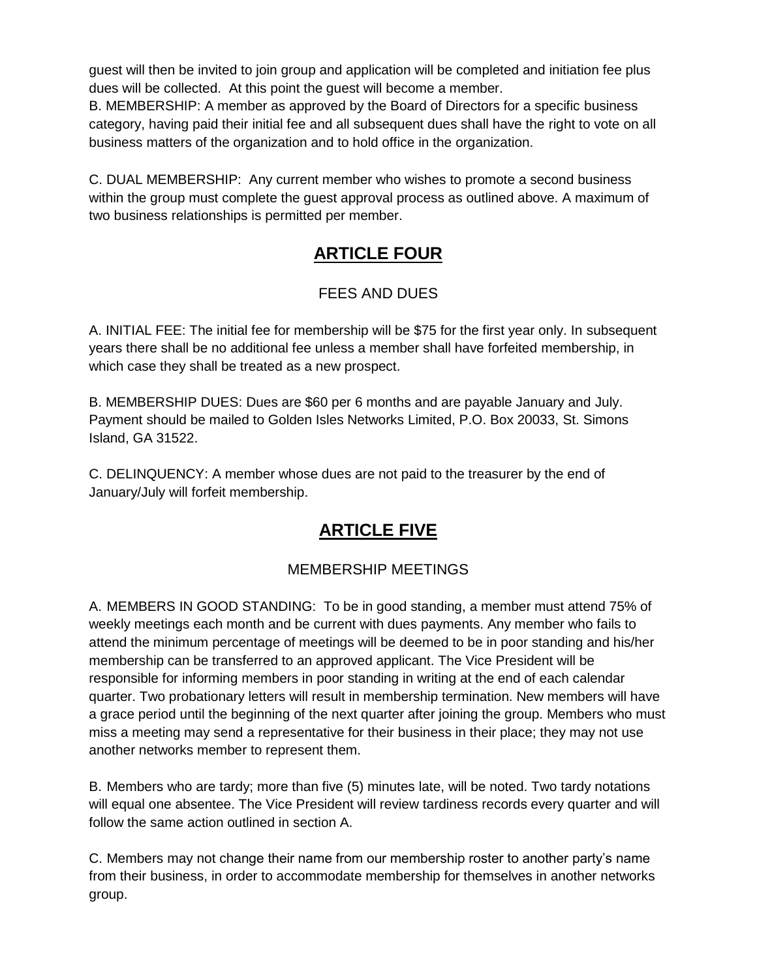guest will then be invited to join group and application will be completed and initiation fee plus dues will be collected. At this point the guest will become a member.

B. MEMBERSHIP: A member as approved by the Board of Directors for a specific business category, having paid their initial fee and all subsequent dues shall have the right to vote on all business matters of the organization and to hold office in the organization.

C. DUAL MEMBERSHIP: Any current member who wishes to promote a second business within the group must complete the guest approval process as outlined above. A maximum of two business relationships is permitted per member.

# **ARTICLE FOUR**

## FEES AND DUES

A. INITIAL FEE: The initial fee for membership will be \$75 for the first year only. In subsequent years there shall be no additional fee unless a member shall have forfeited membership, in which case they shall be treated as a new prospect.

B. MEMBERSHIP DUES: Dues are \$60 per 6 months and are payable January and July. Payment should be mailed to Golden Isles Networks Limited, P.O. Box 20033, St. Simons Island, GA 31522.

C. DELINQUENCY: A member whose dues are not paid to the treasurer by the end of January/July will forfeit membership.

## **ARTICLE FIVE**

#### MEMBERSHIP MEETINGS

A. MEMBERS IN GOOD STANDING: To be in good standing, a member must attend 75% of weekly meetings each month and be current with dues payments. Any member who fails to attend the minimum percentage of meetings will be deemed to be in poor standing and his/her membership can be transferred to an approved applicant. The Vice President will be responsible for informing members in poor standing in writing at the end of each calendar quarter. Two probationary letters will result in membership termination. New members will have a grace period until the beginning of the next quarter after joining the group. Members who must miss a meeting may send a representative for their business in their place; they may not use another networks member to represent them.

B. Members who are tardy; more than five (5) minutes late, will be noted. Two tardy notations will equal one absentee. The Vice President will review tardiness records every quarter and will follow the same action outlined in section A.

C. Members may not change their name from our membership roster to another party's name from their business, in order to accommodate membership for themselves in another networks group.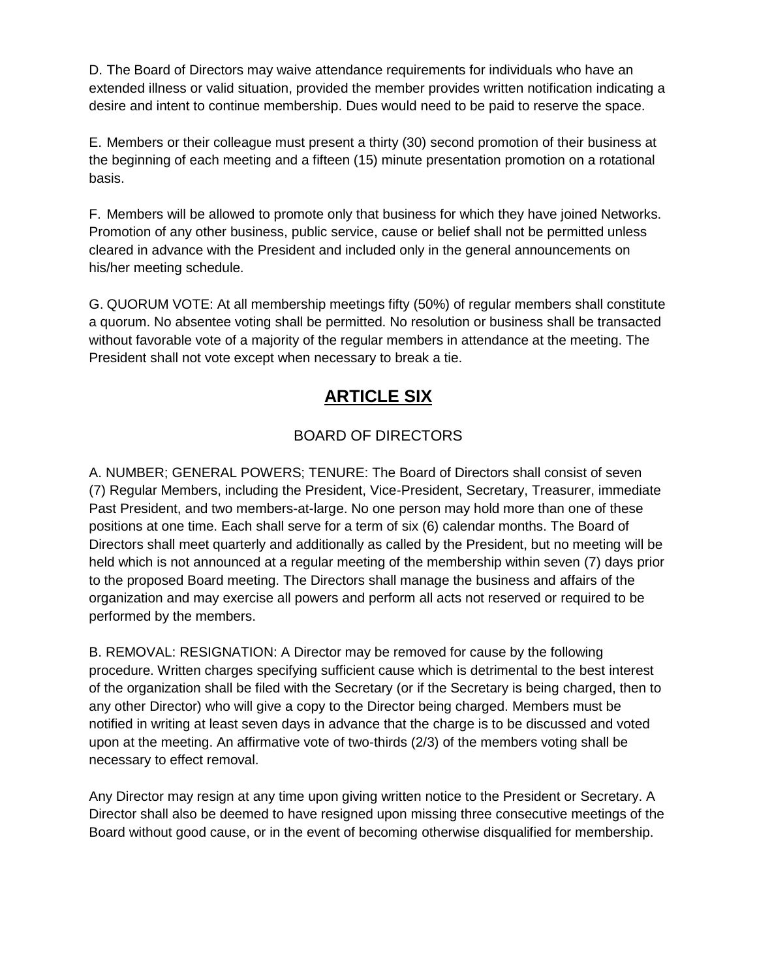D. The Board of Directors may waive attendance requirements for individuals who have an extended illness or valid situation, provided the member provides written notification indicating a desire and intent to continue membership. Dues would need to be paid to reserve the space.

E. Members or their colleague must present a thirty (30) second promotion of their business at the beginning of each meeting and a fifteen (15) minute presentation promotion on a rotational basis.

F. Members will be allowed to promote only that business for which they have joined Networks. Promotion of any other business, public service, cause or belief shall not be permitted unless cleared in advance with the President and included only in the general announcements on his/her meeting schedule.

G. QUORUM VOTE: At all membership meetings fifty (50%) of regular members shall constitute a quorum. No absentee voting shall be permitted. No resolution or business shall be transacted without favorable vote of a majority of the regular members in attendance at the meeting. The President shall not vote except when necessary to break a tie.

## **ARTICLE SIX**

## BOARD OF DIRECTORS

A. NUMBER; GENERAL POWERS; TENURE: The Board of Directors shall consist of seven (7) Regular Members, including the President, Vice-President, Secretary, Treasurer, immediate Past President, and two members-at-large. No one person may hold more than one of these positions at one time. Each shall serve for a term of six (6) calendar months. The Board of Directors shall meet quarterly and additionally as called by the President, but no meeting will be held which is not announced at a regular meeting of the membership within seven (7) days prior to the proposed Board meeting. The Directors shall manage the business and affairs of the organization and may exercise all powers and perform all acts not reserved or required to be performed by the members.

B. REMOVAL: RESIGNATION: A Director may be removed for cause by the following procedure. Written charges specifying sufficient cause which is detrimental to the best interest of the organization shall be filed with the Secretary (or if the Secretary is being charged, then to any other Director) who will give a copy to the Director being charged. Members must be notified in writing at least seven days in advance that the charge is to be discussed and voted upon at the meeting. An affirmative vote of two-thirds (2/3) of the members voting shall be necessary to effect removal.

Any Director may resign at any time upon giving written notice to the President or Secretary. A Director shall also be deemed to have resigned upon missing three consecutive meetings of the Board without good cause, or in the event of becoming otherwise disqualified for membership.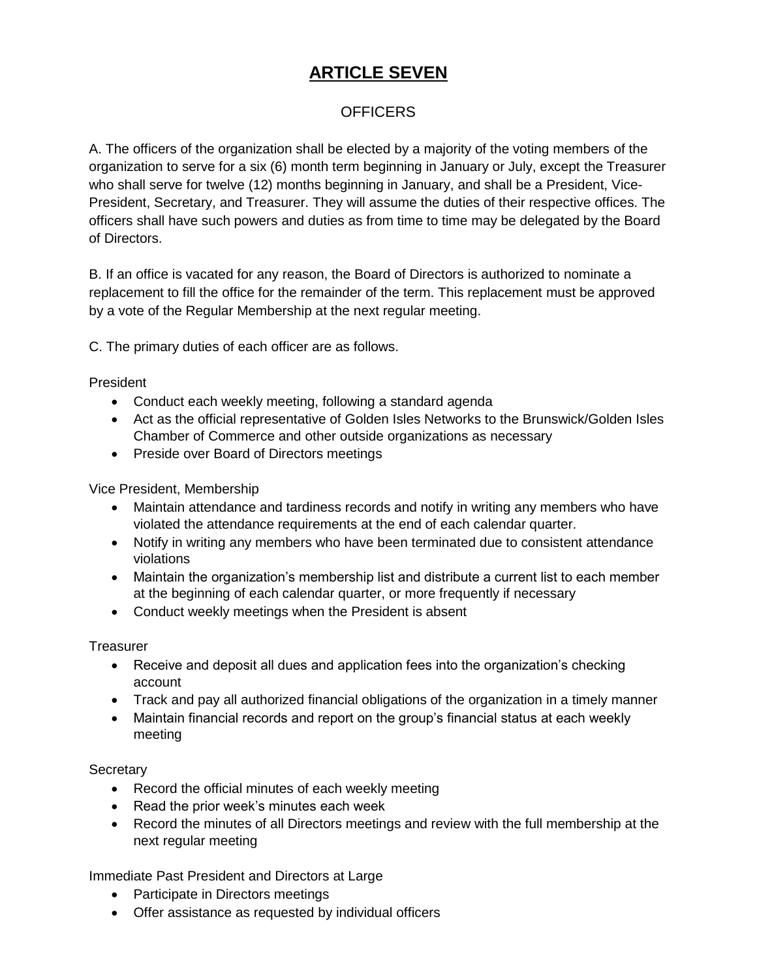# **ARTICLE SEVEN**

#### **OFFICERS**

A. The officers of the organization shall be elected by a majority of the voting members of the organization to serve for a six (6) month term beginning in January or July, except the Treasurer who shall serve for twelve (12) months beginning in January, and shall be a President, Vice-President, Secretary, and Treasurer. They will assume the duties of their respective offices. The officers shall have such powers and duties as from time to time may be delegated by the Board of Directors.

B. If an office is vacated for any reason, the Board of Directors is authorized to nominate a replacement to fill the office for the remainder of the term. This replacement must be approved by a vote of the Regular Membership at the next regular meeting.

C. The primary duties of each officer are as follows.

President

- Conduct each weekly meeting, following a standard agenda
- Act as the official representative of Golden Isles Networks to the Brunswick/Golden Isles Chamber of Commerce and other outside organizations as necessary
- Preside over Board of Directors meetings

Vice President, Membership

- Maintain attendance and tardiness records and notify in writing any members who have violated the attendance requirements at the end of each calendar quarter.
- Notify in writing any members who have been terminated due to consistent attendance violations
- Maintain the organization's membership list and distribute a current list to each member at the beginning of each calendar quarter, or more frequently if necessary
- Conduct weekly meetings when the President is absent

**Treasurer** 

- Receive and deposit all dues and application fees into the organization's checking account
- Track and pay all authorized financial obligations of the organization in a timely manner
- Maintain financial records and report on the group's financial status at each weekly meeting

**Secretary** 

- Record the official minutes of each weekly meeting
- Read the prior week's minutes each week
- Record the minutes of all Directors meetings and review with the full membership at the next regular meeting

Immediate Past President and Directors at Large

- Participate in Directors meetings
- Offer assistance as requested by individual officers